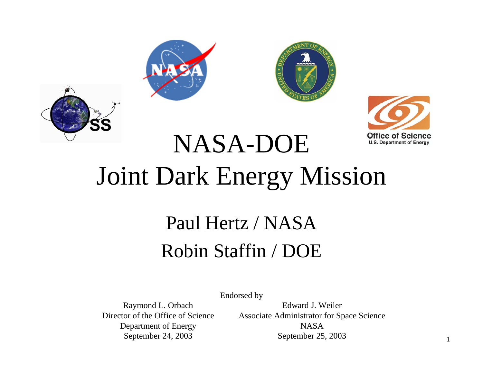





# Joint Dark Energy Mission

NASA-DOE

#### Paul Hertz / NASARobin Staffin / DOE

Endorsed by

Director of the Office of ScienceDepartment of Energy NASA

Raymond L. Orbach Edward J. Weiler Associate Administrator for Space Science September 24, 2003 September 25, 2003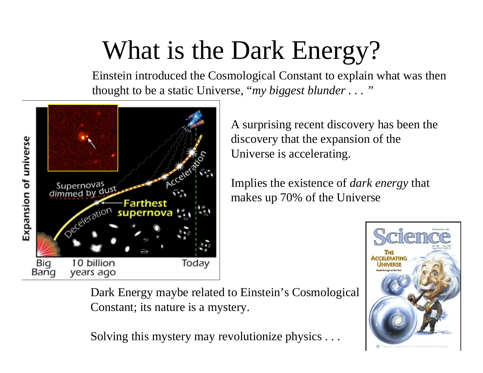#### What is the Dark Energy?

Einstein introduced the Cosmological Constant to explain what was then thought to be a static Universe, "*my biggest blunder . . . "*



A surprising recent discovery has been the discovery that the expansion of the Universe is accelerating.

Implies the exi stence of *dark energy* that makes up 70% of the Universe



Dark Energy maybe related to Einstein's Cosmological Constant; its nature is a mystery.

Solving this mystery may revolutionize physics . . .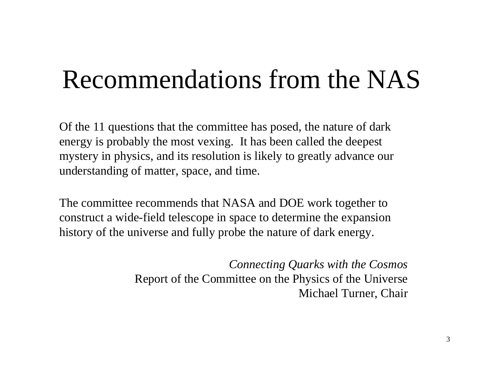#### Recommendations from the NAS

Of the 11 questions that the committee has posed, the nature of dark energy is probably the most vexing. It has been called the deepest mystery in physics, and its resolution is likely to greatly advance our underst anding of matter, space, and time.

The committee recommends that NASA and DOE work together to construct a wide-field telescope in space to determine the expansion history of the universe and fully probe the nature of dark energy.

> *Connecting Quarks with the Cosmos* Report of the Committee on the Physics of the Universe Michael Turner, Chair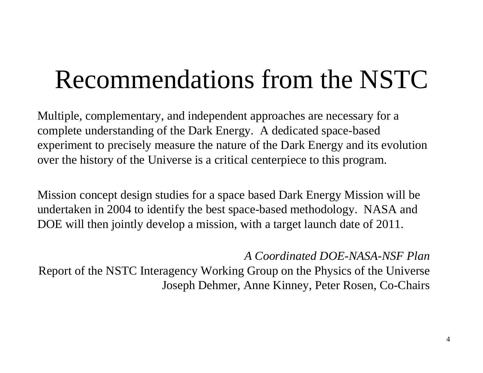#### Recommendations from the NSTC

Multiple, complementary, and independent approaches are necessary for a complete understanding of the Dark Energy. A dedicat ed space-based experiment to precisely measure the nature of the Dark Energy and its evolution over the history of the Universe is a critical centerpiece to this program.

Mission concept design studies for a space based Dark Energy Mission will be undertaken in 2004 to identify the best space-based methodology. NASA and DOE will then jointly develop a mission, with a target launch date of 2011.

*A Coordinated DOE-NASA-NSF Plan*

Report of the NSTC Interagency Working Group on the Physics of the Universe Joseph Dehmer, Anne Kinney, Peter Rosen, Co-Chairs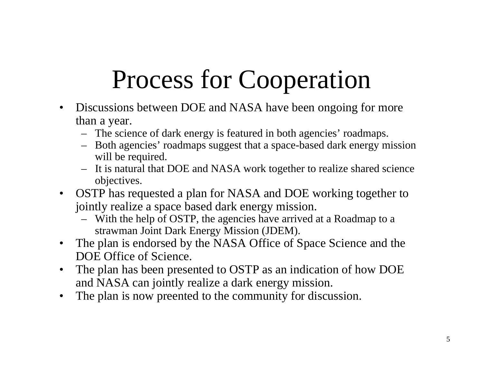#### Process for Cooperation

- $\bullet$ Discussions between DOE and NASA have been ongoing for more than a year.
	- The science of dark energy is featured in both agencies' roadmaps.
	- Both agencies' roadmaps suggest that a space-based dark energy mission will be required.
	- It is natural that DOE and NASA work together to realize shared science objectives.
- OSTP has requested a plan for NASA and DOE working together to jointly realize a space based dark energy mission.
	- With the help of OSTP, the agencies have arrived at a Roadmap to <sup>a</sup> strawman Joint Dark Energy Mission (JDEM).
- $\bullet$ The plan is endorsed by the NASA Office of Space Science and the DOE Office of Science.
- •The plan has been presented to OSTP as an indication of how DOE and NASA can joint ly realize a dark energy mission.
- $\bullet$ The plan is now preented to the community for discussion.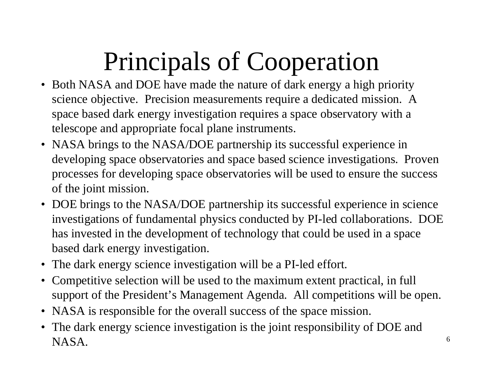#### Principals of Cooperation

- Both NASA and DOE have made the nature of dark energy a high priority science objective. Precision measurements require a dedicated mission. A space based dark energy investigation requires a space observatory with a telescope and appropriate focal plane instruments.
- NASA brings to the NASA/DOE partnership its successful experience in developing space observatories and space based science investigations. Proven processes for developing space observatories will be used to ensure the success of the joint mission.
- DOE brings to the NASA/DOE partnership its successful experience in science investigations of fundamental physics conducted by PI-led collaborations. DOE has invested in the development of technology that could be used in a space based dark energy investigation.
- The dark energy science investigation will be a PI-led effort.
- •Competitive selection will be used to the maximum extent practical, in full support of the President's Management Agenda. All competitions will be open.
- NASA is responsible for the overall success of the space mission.
- The dark energy science investigation is the joint responsibility of DOE and NASA.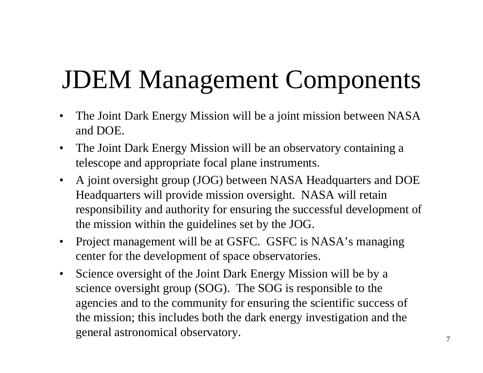### JDEM Management Components

- $\bullet$ The Joint Dark Energy Mission will be a joi nt mission between NASA and DOE.
- $\bullet$ The Joint Dark Energy Mission will be an observat ory containing a telescope and appropriate focal plane instruments.
- $\bullet$ A joint oversight group (JOG) between NASA Headquarters and DOE Headquarters will provide mission oversight. NASA will retain responsibility and authority for ensuring the successful development of the mission within the guideli nes set by the JOG.
- $\bullet$ Project management will be at GSFC. GSFC is NASA's managing center for the development of space observatories.
- $\bullet$ Science oversight of the Joint Dark Energy Mission will be by a science oversight group (SOG). The SOG is responsible to the agencies and to the community for ensuring the scientific success of the mission; this includes both the dark energy investigation and the general astronomical observatory.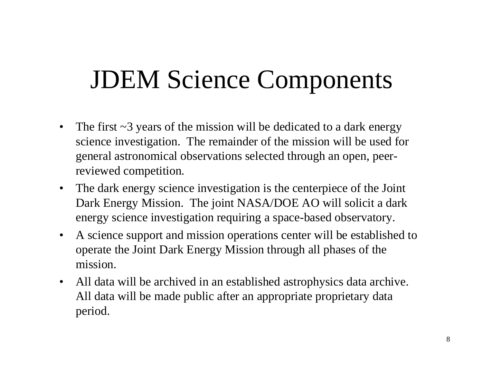#### JDEM Science Components

- $\bullet$ The first ~3 years of the mission will be dedicated to a dark energy science investigation. The remainder of the mission will be used for general astronomical observations selected through an open, peerreviewed competition.
- $\bullet$ The dark energy science investigat ion is the centerpiece of the Joint Dark Energy Mission. The joint NASA/DOE A O will solicit a dark energy science investigation requiring a space-based observatory.
- $\bullet$ A science support and mission operations center will be established to operate the Joi nt Dark Energy Mission through all phases of the mission.
- $\bullet$ All data will be archived in an established astrophysics data archive. All data will be made public after an appropriate proprietary data period.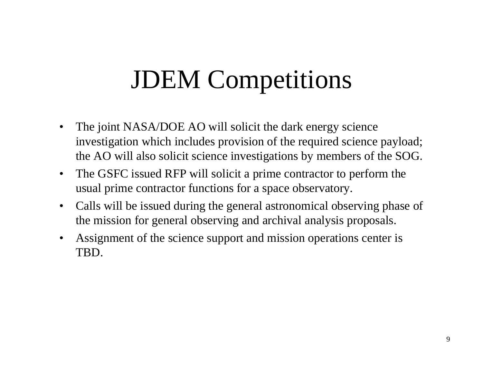#### JDEM Competitions

- $\bullet$ The joint NASA/DOE AO will solicit the dark energy science investi gation which includes provision of the required science payload; the AO will also solicit science investigations by members of the SOG.
- $\bullet$ The G SFC issued RFP will solicit a prime contractor to perform the usual prime contractor functions for a space observatory.
- $\bullet$ Calls will be issued during the general astronomical observing phase of the mission for general observing and archival analysis proposals.
- •Assignment of the science support and mission operations cent er is TBD.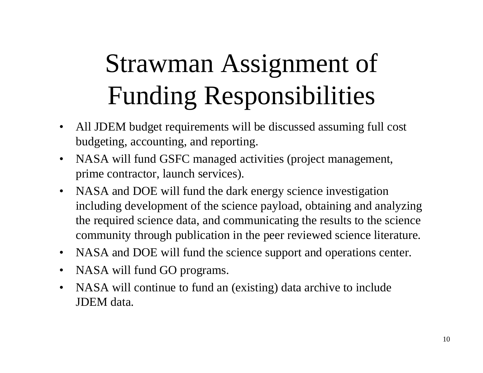# Strawman Assignment of Funding Responsibilities

- $\bullet$ All JDEM budget requirements will be discussed assuming full cost budgeting, accounting, and reporting.
- $\bullet$  NASA will fund GSFC managed activities (project management, prime contractor, launch services).
- $\bullet$  NASA and DOE will fund the dark energy science investigation including development of the science payload, obtaining and analyzing the required science data, and communicating the results to the science community through publication in the peer reviewed science literature.
- $\bullet$ NASA and DOE will fund the science support and operations center.
- $\bullet$ NASA will fund GO programs.
- $\bullet$  NASA will continue to fund an (existing) data archive to include JDEM data.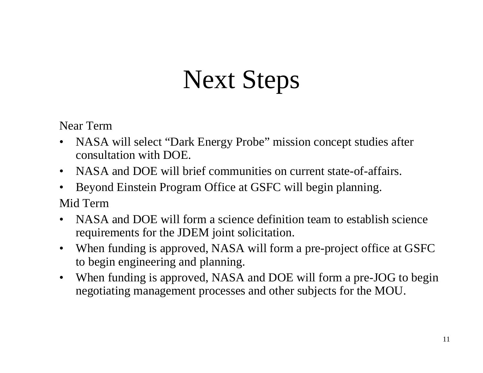#### Next Steps

Near Term

- • NASA will select "Dark Energy Probe" mission concept studies after consultation with DOE.
- $\bullet$ NASA and DOE will brief communities on current state-of-affairs.
- $\bullet$  Beyond Einstein Program Office at GSFC will begin planning. Mid Term
- • NASA and DOE will form a science definition team to establish science requirements for the JDEM joint solicitation.
- $\bullet$  When funding is approved, NASA will form a pre-project office at GSFC to begin engineering and planning.
- $\bullet$  When funding is approved, NASA and DOE will form a pre-JOG to begin negotiating management processes and other subjects for the MOU.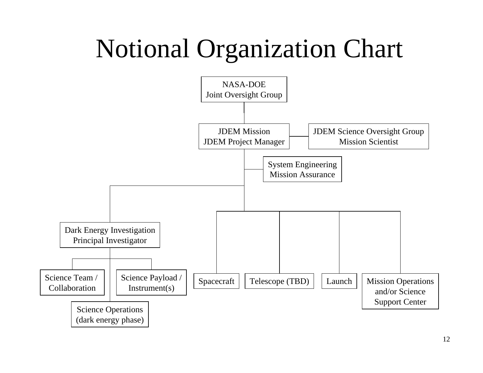#### Notional Organization Chart

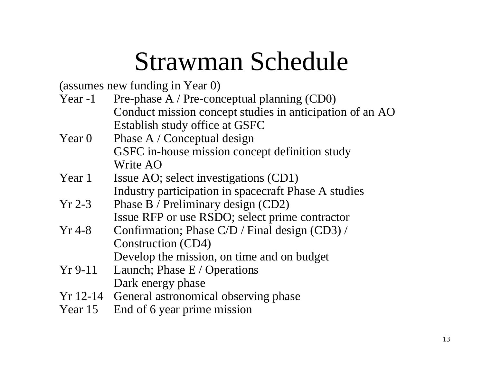#### Strawman Schedule

(assumes new funding in Year 0)

- Year -1 Pre-phase A / Pre-conceptual planning (CD0) Conduct mission concept studies in anticipation of an AO Establish study office at GSFC
- Year  $0$ Phase A / Conceptual design GSFC in-house mission concept definition study Write AO
- Year 1Issue AO; select investigations (CD1) Industry participation in spacecraft Phase A studies
- Yr 2-3Phase B / Preliminary design (CD2) Issue RFP or use RSDO; select prime contractor
- Yr 4-8Confirmation; Phase C/D / Final design (CD3) / Construction (CD4) Develop the mission, on time and on budget
- Yr 9-11 Launch; Phase E / Operations Dark energy phase
- Yr 12-14 General astronomical observing phase
- Year 15 End of 6 year prime mission